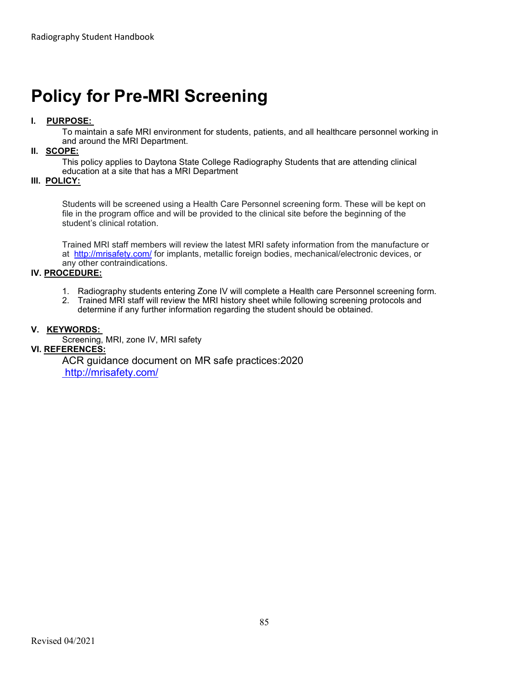# Policy for Pre-MRI Screening

# I. PURPOSE:

To maintain a safe MRI environment for students, patients, and all healthcare personnel working in and around the MRI Department.

### II. SCOPE:

This policy applies to Daytona State College Radiography Students that are attending clinical education at a site that has a MRI Department

### III. POLICY:

Students will be screened using a Health Care Personnel screening form. These will be kept on file in the program office and will be provided to the clinical site before the beginning of the student's clinical rotation.

Trained MRI staff members will review the latest MRI safety information from the manufacture or at http://mrisafety.com/ for implants, metallic foreign bodies, mechanical/electronic devices, or any other contraindications.

### IV. PROCEDURE:

- 1. Radiography students entering Zone IV will complete a Health care Personnel screening form.
- 2. Trained MRI staff will review the MRI history sheet while following screening protocols and determine if any further information regarding the student should be obtained.

#### V. KEYWORDS:

Screening, MRI, zone IV, MRI safety

## VI. REFERENCES:

ACR guidance document on MR safe practices:2020 http://mrisafety.com/